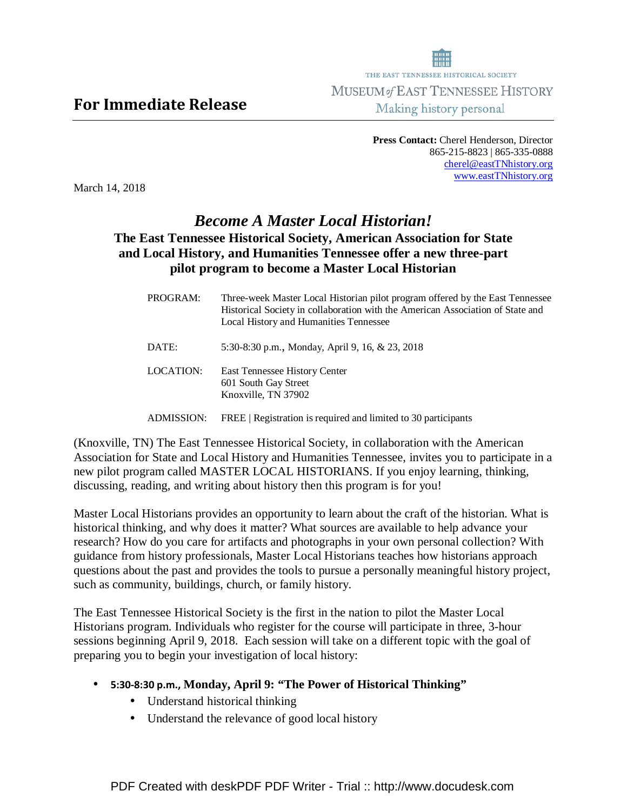THE EAST TENNESSEE HISTORICAL SOCIETY **MUSEUM of EAST TENNESSEE HISTORY** Making history personal

> **Press Contact:** Cherel Henderson, Director 865-215-8823 | 865-335-0888 cherel@eastTNhistory.org www.eastTNhistory.org

March 14, 2018

## *Become A Master Local Historian!*  **The East Tennessee Historical Society, American Association for State and Local History, and Humanities Tennessee offer a new three-part pilot program to become a Master Local Historian**

| PROGRAM:  | Three-week Master Local Historian pilot program offered by the East Tennessee<br>Historical Society in collaboration with the American Association of State and<br>Local History and Humanities Tennessee |
|-----------|-----------------------------------------------------------------------------------------------------------------------------------------------------------------------------------------------------------|
| DATE:     | 5:30-8:30 p.m., Monday, April 9, 16, & 23, 2018                                                                                                                                                           |
| LOCATION: | East Tennessee History Center<br>601 South Gay Street<br>Knoxville, TN 37902                                                                                                                              |
|           |                                                                                                                                                                                                           |

ADMISSION: FREE | Registration is required and limited to 30 participants

(Knoxville, TN) The East Tennessee Historical Society, in collaboration with the American Association for State and Local History and Humanities Tennessee, invites you to participate in a new pilot program called MASTER LOCAL HISTORIANS. If you enjoy learning, thinking, discussing, reading, and writing about history then this program is for you!

Master Local Historians provides an opportunity to learn about the craft of the historian. What is historical thinking, and why does it matter? What sources are available to help advance your research? How do you care for artifacts and photographs in your own personal collection? With guidance from history professionals, Master Local Historians teaches how historians approach questions about the past and provides the tools to pursue a personally meaningful history project, such as community, buildings, church, or family history.

The East Tennessee Historical Society is the first in the nation to pilot the Master Local Historians program. Individuals who register for the course will participate in three, 3-hour sessions beginning April 9, 2018. Each session will take on a different topic with the goal of preparing you to begin your investigation of local history:

- 5:30-8:30 p.m., **Monday, April 9: "The Power of Historical Thinking"** 
	- Understand historical thinking
	- Understand the relevance of good local history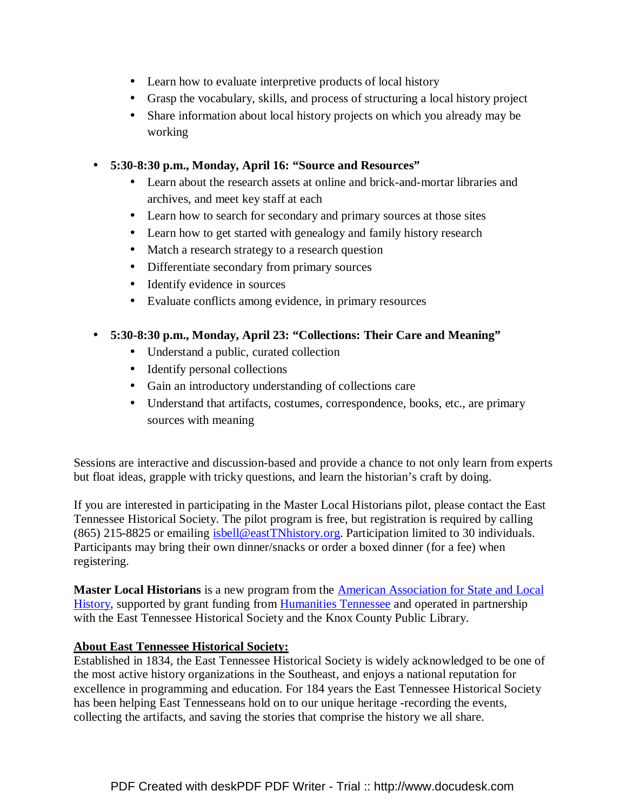- Learn how to evaluate interpretive products of local history
- Grasp the vocabulary, skills, and process of structuring a local history project
- Share information about local history projects on which you already may be working
- **5:30-8:30 p.m., Monday, April 16: "Source and Resources"**
	- Learn about the research assets at online and brick-and-mortar libraries and archives, and meet key staff at each
	- Learn how to search for secondary and primary sources at those sites
	- Learn how to get started with genealogy and family history research
	- Match a research strategy to a research question
	- Differentiate secondary from primary sources
	- Identify evidence in sources
	- Evaluate conflicts among evidence, in primary resources

## • **5:30-8:30 p.m., Monday, April 23: "Collections: Their Care and Meaning"**

- Understand a public, curated collection
- Identify personal collections
- Gain an introductory understanding of collections care
- Understand that artifacts, costumes, correspondence, books, etc., are primary sources with meaning

Sessions are interactive and discussion-based and provide a chance to not only learn from experts but float ideas, grapple with tricky questions, and learn the historian's craft by doing.

If you are interested in participating in the Master Local Historians pilot, please contact the East Tennessee Historical Society. The pilot program is free, but registration is required by calling (865) 215-8825 or emailing isbell@eastTNhistory.org. Participation limited to 30 individuals. Participants may bring their own dinner/snacks or order a boxed dinner (for a fee) when registering.

**Master Local Historians** is a new program from the American Association for State and Local History, supported by grant funding from Humanities Tennessee and operated in partnership with the East Tennessee Historical Society and the Knox County Public Library.

## **About East Tennessee Historical Society:**

Established in 1834, the East Tennessee Historical Society is widely acknowledged to be one of the most active history organizations in the Southeast, and enjoys a national reputation for excellence in programming and education. For 184 years the East Tennessee Historical Society has been helping East Tennesseans hold on to our unique heritage -recording the events, collecting the artifacts, and saving the stories that comprise the history we all share.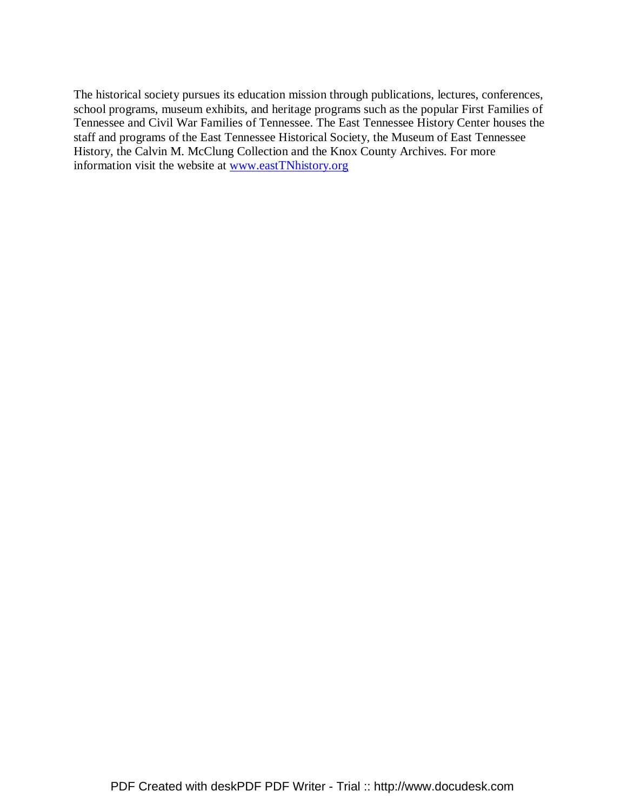The historical society pursues its education mission through publications, lectures, conferences, school programs, museum exhibits, and heritage programs such as the popular First Families of Tennessee and Civil War Families of Tennessee. The East Tennessee History Center houses the staff and programs of the East Tennessee Historical Society, the Museum of East Tennessee History, the Calvin M. McClung Collection and the Knox County Archives. For more information visit the website at www.eastTNhistory.org